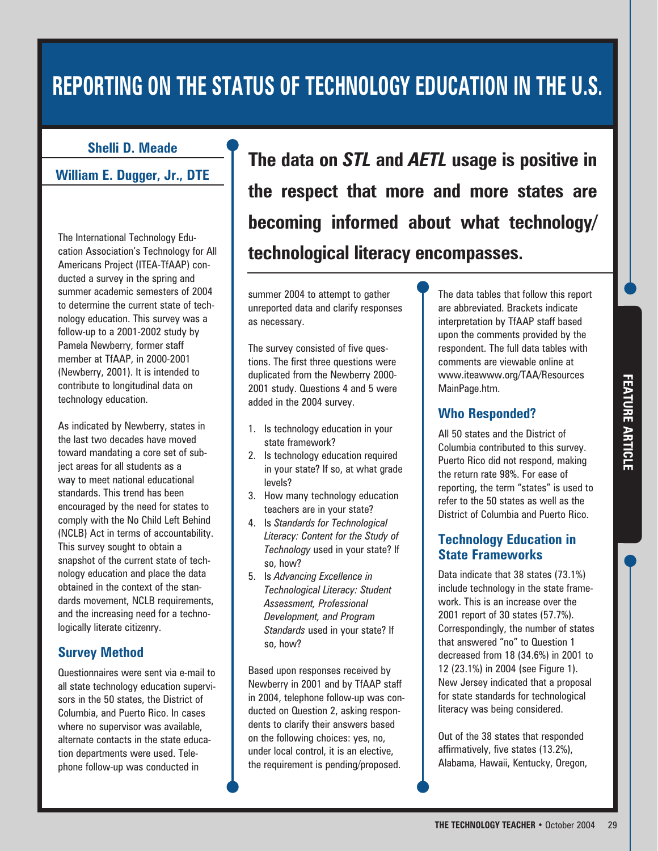# **REPORTING ON THE STATUS OF TECHNOLOGY EDUCATION IN THE U.S.**

#### **Shelli D. Meade**

**William E. Dugger, Jr., DTE**

The International Technology Education Association's Technology for All Americans Project (ITEA-TfAAP) conducted a survey in the spring and summer academic semesters of 2004 to determine the current state of technology education. This survey was a follow-up to a 2001-2002 study by Pamela Newberry, former staff member at TfAAP, in 2000-2001 (Newberry, 2001). It is intended to contribute to longitudinal data on technology education.

As indicated by Newberry, states in the last two decades have moved toward mandating a core set of subject areas for all students as a way to meet national educational standards. This trend has been encouraged by the need for states to comply with the No Child Left Behind (NCLB) Act in terms of accountability. This survey sought to obtain a snapshot of the current state of technology education and place the data obtained in the context of the standards movement, NCLB requirements, and the increasing need for a technologically literate citizenry.

## **Survey Method**

Questionnaires were sent via e-mail to all state technology education supervisors in the 50 states, the District of Columbia, and Puerto Rico. In cases where no supervisor was available, alternate contacts in the state education departments were used. Telephone follow-up was conducted in

**The data on** *STL* **and** *AETL* **usage is positive in the respect that more and more states are becoming informed about what technology/ technological literacy encompasses.**

summer 2004 to attempt to gather unreported data and clarify responses as necessary.

The survey consisted of five questions. The first three questions were duplicated from the Newberry 2000- 2001 study. Questions 4 and 5 were added in the 2004 survey.

- 1. Is technology education in your state framework?
- 2. Is technology education required in your state? If so, at what grade levels?
- 3. How many technology education teachers are in your state?
- 4. Is *Standards for Technological Literacy: Content for the Study of Technology* used in your state? If so, how?
- 5. Is *Advancing Excellence in Technological Literacy: Student Assessment, Professional Development, and Program Standards* used in your state? If so, how?

Based upon responses received by Newberry in 2001 and by TfAAP staff in 2004, telephone follow-up was conducted on Question 2, asking respondents to clarify their answers based on the following choices: yes, no, under local control, it is an elective, the requirement is pending/proposed.

The data tables that follow this report are abbreviated. Brackets indicate interpretation by TfAAP staff based upon the comments provided by the respondent. The full data tables with comments are viewable online at www.iteawww.org/TAA/Resources MainPage.htm.

# **Who Responded?**

All 50 states and the District of Columbia contributed to this survey. Puerto Rico did not respond, making the return rate 98%. For ease of reporting, the term "states" is used to refer to the 50 states as well as the District of Columbia and Puerto Rico.

# **Technology Education in State Frameworks**

Data indicate that 38 states (73.1%) include technology in the state framework. This is an increase over the 2001 report of 30 states (57.7%). Correspondingly, the number of states that answered "no" to Question 1 decreased from 18 (34.6%) in 2001 to 12 (23.1%) in 2004 (see Figure 1). New Jersey indicated that a proposal for state standards for technological literacy was being considered.

Out of the 38 states that responded affirmatively, five states (13.2%), Alabama, Hawaii, Kentucky, Oregon,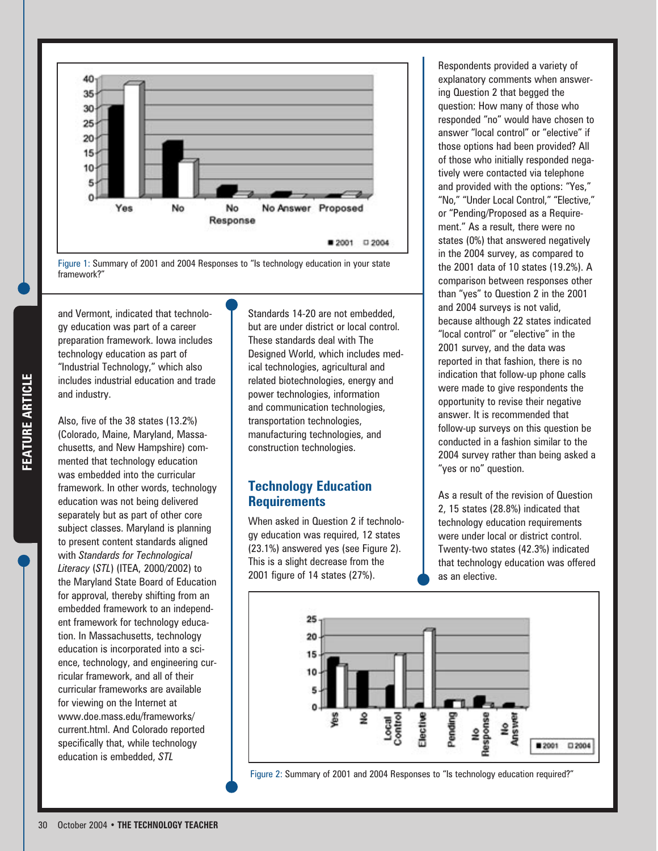

Figure 1: Summary of 2001 and 2004 Responses to "Is technology education in your state framework?"

and Vermont, indicated that technology education was part of a career preparation framework. Iowa includes technology education as part of "Industrial Technology," which also includes industrial education and trade and industry.

Also, five of the 38 states (13.2%) (Colorado, Maine, Maryland, Massachusetts, and New Hampshire) commented that technology education was embedded into the curricular framework. In other words, technology education was not being delivered separately but as part of other core subject classes. Maryland is planning to present content standards aligned with *Standards for Technological Literacy* (*STL*) (ITEA, 2000/2002) to the Maryland State Board of Education for approval, thereby shifting from an embedded framework to an independent framework for technology education. In Massachusetts, technology education is incorporated into a science, technology, and engineering curricular framework, and all of their curricular frameworks are available for viewing on the Internet at www.doe.mass.edu/frameworks/ current.html. And Colorado reported specifically that, while technology education is embedded, *STL*

Standards 14-20 are not embedded, but are under district or local control. These standards deal with The Designed World, which includes medical technologies, agricultural and related biotechnologies, energy and power technologies, information and communication technologies, transportation technologies, manufacturing technologies, and construction technologies.

# **Technology Education Requirements**

When asked in Question 2 if technology education was required, 12 states (23.1%) answered yes (see Figure 2). This is a slight decrease from the 2001 figure of 14 states (27%).

Respondents provided a variety of explanatory comments when answering Question 2 that begged the question: How many of those who responded "no" would have chosen to answer "local control" or "elective" if those options had been provided? All of those who initially responded negatively were contacted via telephone and provided with the options: "Yes," "No," "Under Local Control," "Elective," or "Pending/Proposed as a Requirement." As a result, there were no states (0%) that answered negatively in the 2004 survey, as compared to the 2001 data of 10 states (19.2%). A comparison between responses other than "yes" to Question 2 in the 2001 and 2004 surveys is not valid, because although 22 states indicated "local control" or "elective" in the 2001 survey, and the data was reported in that fashion, there is no indication that follow-up phone calls were made to give respondents the opportunity to revise their negative answer. It is recommended that follow-up surveys on this question be conducted in a fashion similar to the 2004 survey rather than being asked a "yes or no" question.

As a result of the revision of Question 2, 15 states (28.8%) indicated that technology education requirements were under local or district control. Twenty-two states (42.3%) indicated that technology education was offered as an elective.



Figure 2: Summary of 2001 and 2004 Responses to "Is technology education required?"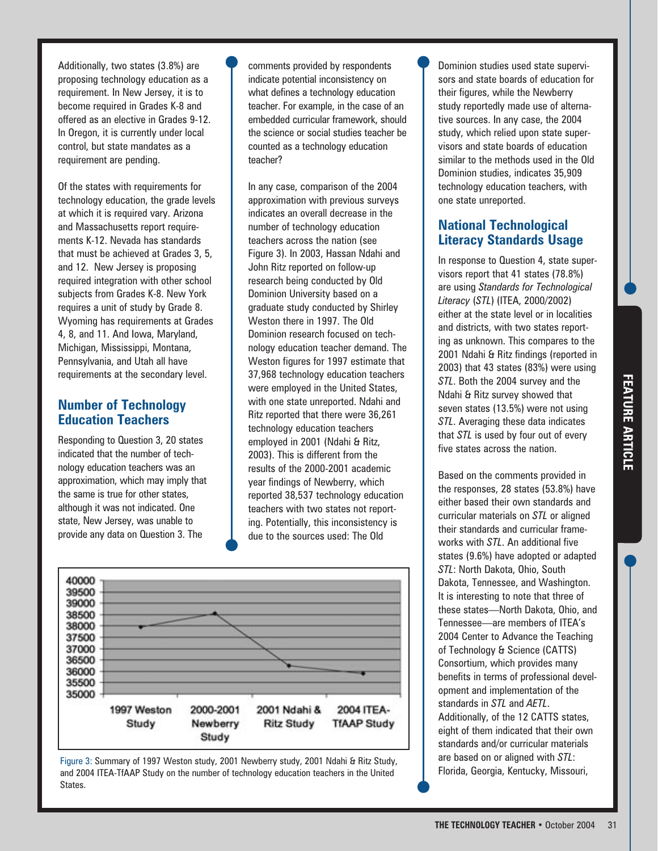Additionally, two states (3.8%) are proposing technology education as a requirement. In New Jersey, it is to become required in Grades K-8 and offered as an elective in Grades 9-12. In Oregon, it is currently under local control, but state mandates as a requirement are pending.

Of the states with requirements for technology education, the grade levels at which it is required vary. Arizona and Massachusetts report requirements K-12. Nevada has standards that must be achieved at Grades 3, 5, and 12. New Jersey is proposing required integration with other school subjects from Grades K-8. New York requires a unit of study by Grade 8. Wyoming has requirements at Grades 4, 8, and 11. And Iowa, Maryland, Michigan, Mississippi, Montana, Pennsylvania, and Utah all have requirements at the secondary level.

### **Number of Technology Education Teachers**

Responding to Question 3, 20 states indicated that the number of technology education teachers was an approximation, which may imply that the same is true for other states, although it was not indicated. One state, New Jersey, was unable to provide any data on Question 3. The

comments provided by respondents indicate potential inconsistency on what defines a technology education teacher. For example, in the case of an embedded curricular framework, should the science or social studies teacher be counted as a technology education teacher?

In any case, comparison of the 2004 approximation with previous surveys indicates an overall decrease in the number of technology education teachers across the nation (see Figure 3). In 2003, Hassan Ndahi and John Ritz reported on follow-up research being conducted by Old Dominion University based on a graduate study conducted by Shirley Weston there in 1997. The Old Dominion research focused on technology education teacher demand. The Weston figures for 1997 estimate that 37,968 technology education teachers were employed in the United States, with one state unreported. Ndahi and Ritz reported that there were 36,261 technology education teachers employed in 2001 (Ndahi & Ritz, 2003). This is different from the results of the 2000-2001 academic year findings of Newberry, which reported 38,537 technology education teachers with two states not reporting. Potentially, this inconsistency is due to the sources used: The Old



Figure 3: Summary of 1997 Weston study, 2001 Newberry study, 2001 Ndahi & Ritz Study, and 2004 ITEA-TfAAP Study on the number of technology education teachers in the United States.

Dominion studies used state supervisors and state boards of education for their figures, while the Newberry study reportedly made use of alternative sources. In any case, the 2004 study, which relied upon state supervisors and state boards of education similar to the methods used in the Old Dominion studies, indicates 35,909 technology education teachers, with one state unreported.

# **National Technological Literacy Standards Usage**

In response to Question 4, state supervisors report that 41 states (78.8%) are using *Standards for Technological Literacy* (*STL*) (ITEA, 2000/2002) either at the state level or in localities and districts, with two states reporting as unknown. This compares to the 2001 Ndahi & Ritz findings (reported in 2003) that 43 states (83%) were using *STL*. Both the 2004 survey and the Ndahi & Ritz survey showed that seven states (13.5%) were not using *STL*. Averaging these data indicates that *STL* is used by four out of every five states across the nation.

Based on the comments provided in the responses, 28 states (53.8%) have either based their own standards and curricular materials on *STL* or aligned their standards and curricular frameworks with *STL*. An additional five states (9.6%) have adopted or adapted *STL*: North Dakota, Ohio, South Dakota, Tennessee, and Washington. It is interesting to note that three of these states—North Dakota, Ohio, and Tennessee—are members of ITEA's 2004 Center to Advance the Teaching of Technology & Science (CATTS) Consortium, which provides many benefits in terms of professional development and implementation of the standards in *STL* and *AETL*. Additionally, of the 12 CATTS states, eight of them indicated that their own standards and/or curricular materials are based on or aligned with *STL*: Florida, Georgia, Kentucky, Missouri,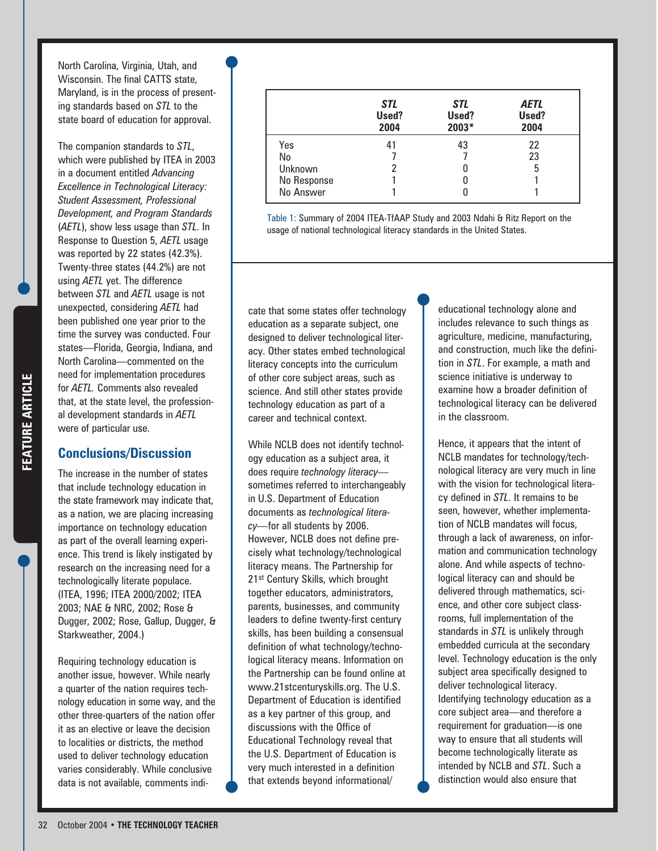Requiring technology education is another issue, however. While nearly a quarter of the nation requires technology education in some way, and the other three-quarters of the nation offer it as an elective or leave the decision to localities or districts, the method used to deliver technology education varies considerably. While conclusive data is not available, comments indi-

North Carolina, Virginia, Utah, and Wisconsin. The final CATTS state, Maryland, is in the process of presenting standards based on *STL* to the state board of education for approval.

The companion standards to *STL*, which were published by ITEA in 2003 in a document entitled *Advancing Excellence in Technological Literacy: Student Assessment, Professional Development, and Program Standards* (*AETL*), show less usage than *STL*. In Response to Question 5, *AETL* usage was reported by 22 states (42.3%). Twenty-three states (44.2%) are not using *AETL* yet. The difference between *STL* and *AETL* usage is not unexpected, considering *AETL* had been published one year prior to the time the survey was conducted. Four states—Florida, Georgia, Indiana, and North Carolina—commented on the need for implementation procedures for *AETL.* Comments also revealed that, at the state level, the professional development standards in *AETL* were of particular use.

#### **Conclusions/Discussion**

The increase in the number of states that include technology education in the state framework may indicate that, as a nation, we are placing increasing importance on technology education as part of the overall learning experience. This trend is likely instigated by research on the increasing need for a technologically literate populace. (ITEA, 1996; ITEA 2000/2002; ITEA 2003; NAE & NRC, 2002; Rose & Dugger, 2002; Rose, Gallup, Dugger, & Starkweather, 2004.)

*STL* **Used? 2004** 41 7 2 1 1 *STL* **Used? 2003\*** 43 7 0 0  $\theta$ *AETL* **Used? 2004** 22 23 5 1 1 Yes No Unknown No Response No Answer

Table 1: Summary of 2004 ITEA-TfAAP Study and 2003 Ndahi & Ritz Report on the usage of national technological literacy standards in the United States.

cate that some states offer technology education as a separate subject, one designed to deliver technological literacy. Other states embed technological literacy concepts into the curriculum of other core subject areas, such as science. And still other states provide technology education as part of a career and technical context.

While NCLB does not identify technology education as a subject area, it does require *technology literacy* sometimes referred to interchangeably in U.S. Department of Education documents as *technological literacy—*for all students by 2006. However, NCLB does not define precisely what technology/technological literacy means. The Partnership for 21st Century Skills, which brought together educators, administrators, parents, businesses, and community leaders to define twenty-first century skills, has been building a consensual definition of what technology/technological literacy means. Information on the Partnership can be found online at www.21stcenturyskills.org. The U.S. Department of Education is identified as a key partner of this group, and discussions with the Office of Educational Technology reveal that the U.S. Department of Education is very much interested in a definition that extends beyond informational/

educational technology alone and includes relevance to such things as agriculture, medicine, manufacturing, and construction, much like the definition in *STL*. For example, a math and science initiative is underway to examine how a broader definition of technological literacy can be delivered in the classroom.

Hence, it appears that the intent of NCLB mandates for technology/technological literacy are very much in line with the vision for technological literacy defined in *STL*. It remains to be seen, however, whether implementation of NCLB mandates will focus, through a lack of awareness, on information and communication technology alone. And while aspects of technological literacy can and should be delivered through mathematics, science, and other core subject classrooms, full implementation of the standards in *STL* is unlikely through embedded curricula at the secondary level. Technology education is the only subject area specifically designed to deliver technological literacy. Identifying technology education as a core subject area—and therefore a requirement for graduation—is one way to ensure that all students will become technologically literate as intended by NCLB and *STL*. Such a distinction would also ensure that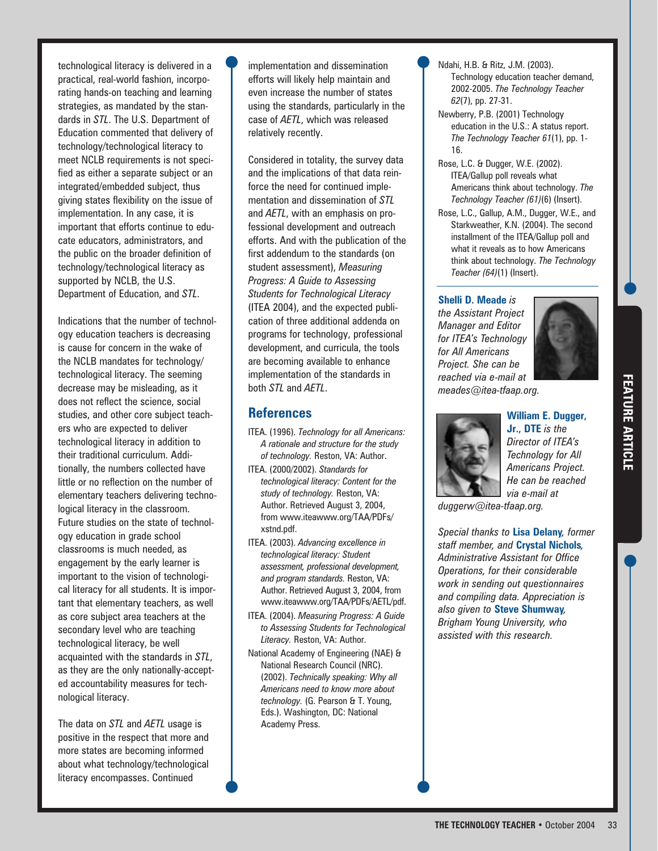technological literacy is delivered in a practical, real-world fashion, incorporating hands-on teaching and learning strategies, as mandated by the standards in *STL*. The U.S. Department of Education commented that delivery of technology/technological literacy to meet NCLB requirements is not specified as either a separate subject or an integrated/embedded subject, thus giving states flexibility on the issue of implementation. In any case, it is important that efforts continue to educate educators, administrators, and the public on the broader definition of technology/technological literacy as supported by NCLB, the U.S. Department of Education, and *STL*.

Indications that the number of technology education teachers is decreasing is cause for concern in the wake of the NCLB mandates for technology/ technological literacy. The seeming decrease may be misleading, as it does not reflect the science, social studies, and other core subject teachers who are expected to deliver technological literacy in addition to their traditional curriculum. Additionally, the numbers collected have little or no reflection on the number of elementary teachers delivering technological literacy in the classroom. Future studies on the state of technology education in grade school classrooms is much needed, as engagement by the early learner is important to the vision of technological literacy for all students. It is important that elementary teachers, as well as core subject area teachers at the secondary level who are teaching technological literacy, be well acquainted with the standards in *STL*, as they are the only nationally-accepted accountability measures for technological literacy.

The data on *STL* and *AETL* usage is positive in the respect that more and more states are becoming informed about what technology/technological literacy encompasses. Continued

implementation and dissemination efforts will likely help maintain and even increase the number of states using the standards, particularly in the case of *AETL*, which was released relatively recently.

Considered in totality, the survey data and the implications of that data reinforce the need for continued implementation and dissemination of *STL* and *AETL*, with an emphasis on professional development and outreach efforts. And with the publication of the first addendum to the standards (on student assessment), *Measuring Progress: A Guide to Assessing Students for Technological Literacy* (ITEA 2004), and the expected publication of three additional addenda on programs for technology, professional development, and curricula, the tools are becoming available to enhance implementation of the standards in both *STL* and *AETL*.

## **References**

- ITEA. (1996). *Technology for all Americans: A rationale and structure for the study of technology.* Reston, VA: Author.
- ITEA. (2000/2002). *Standards for technological literacy: Content for the study of technology.* Reston, VA: Author. Retrieved August 3, 2004, from www.iteawww.org/TAA/PDFs/ xstnd.pdf.
- ITEA. (2003). *Advancing excellence in technological literacy: Student assessment, professional development, and program standards.* Reston, VA: Author. Retrieved August 3, 2004, from www.iteawww.org/TAA/PDFs/AETL/pdf.
- ITEA. (2004). *Measuring Progress: A Guide to Assessing Students for Technological Literacy.* Reston, VA: Author.
- National Academy of Engineering (NAE) & National Research Council (NRC). (2002). *Technically speaking: Why all Americans need to know more about technology.* (G. Pearson & T. Young, Eds.). Washington, DC: National Academy Press.
- Ndahi, H.B. & Ritz, J.M. (2003). Technology education teacher demand, 2002-2005. *The Technology Teacher 62*(7), pp. 27-31.
- Newberry, P.B. (2001) Technology education in the U.S.: A status report. *The Technology Teacher 61*(1), pp. 1- 16.
- Rose, L.C. & Dugger, W.E. (2002). ITEA/Gallup poll reveals what Americans think about technology. *The Technology Teacher (61)*(6) (Insert).
- Rose, L.C., Gallup, A.M., Dugger, W.E., and Starkweather, K.N. (2004). The second installment of the ITEA/Gallup poll and what it reveals as to how Americans think about technology. *The Technology Teacher (64)*(1) (Insert).

#### **Shelli D. Meade** *is*

*the Assistant Project Manager and Editor for ITEA's Technology for All Americans Project. She can be reached via e-mail at meades@itea-tfaap.org.*



**FEATURE ARTICLE FEATURE ARTICLE**



**William E. Dugger, Jr., DTE** *is the Director of ITEA's Technology for All Americans Project. He can be reached via e-mail at*

*duggerw@itea-tfaap.org.*

*Special thanks to* **Lisa Delany***, former staff member, and* **Crystal Nichols***, Administrative Assistant for Office Operations, for their considerable work in sending out questionnaires and compiling data. Appreciation is also given to* **Steve Shumway***, Brigham Young University, who assisted with this research.*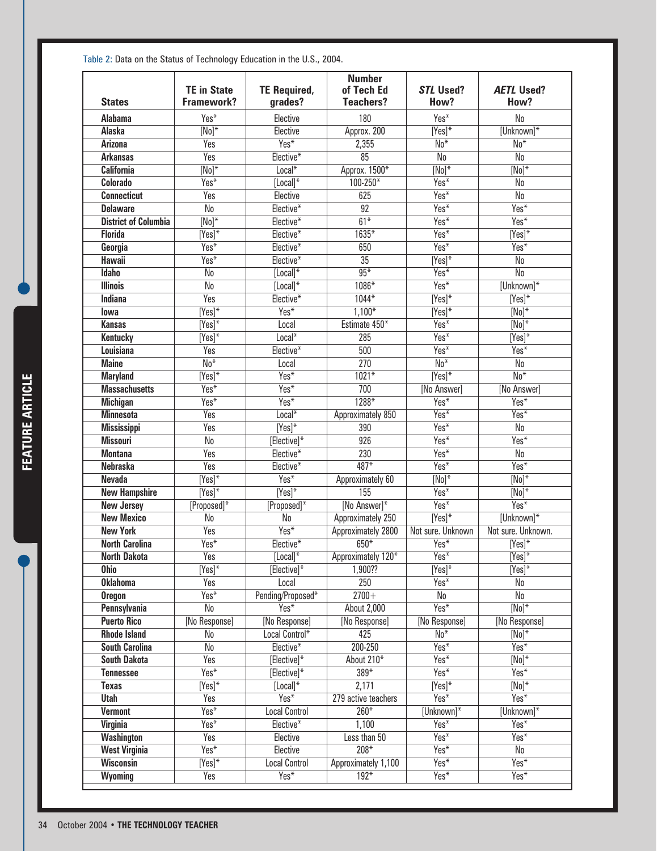| <b>States</b>               | <b>TE in State</b><br><b>Framework?</b> | <b>TE Required,</b><br>grades? | <b>Number</b><br>of Tech Ed<br><b>Teachers?</b> | <b>STL Used?</b><br>How?          | <b>AETL Used?</b><br>How?   |
|-----------------------------|-----------------------------------------|--------------------------------|-------------------------------------------------|-----------------------------------|-----------------------------|
| <b>Alabama</b>              | Yes*                                    | Elective                       | 180                                             | Yes*                              | No                          |
| <b>Alaska</b>               | $\overline{[No]^*}$                     | Elective                       | Approx. 200                                     | $\overline{[Yes]^*}$              | [Unknown]*                  |
| <b>Arizona</b>              | Yes                                     | $Yes*$                         | 2,355                                           | $No*$                             | $\overline{\text{No*}}$     |
| <b>Arkansas</b>             | <b>Yes</b>                              | Elective*                      | $\overline{85}$                                 | $\overline{\mathsf{No}}$          | No                          |
| <b>California</b>           | $\overline{[No]^*}$                     | Local*                         | Approx. 1500*                                   | $\overline{[No]^*}$               | $\overline{[No]^*}$         |
| <b>Colorado</b>             | Yes*                                    | $[Local]$ *                    | $100 - 250*$                                    | $Yes*$                            | No                          |
| <b>Connecticut</b>          | Yes                                     | Elective                       | 625                                             | $Yes*$                            | $\overline{\mathsf{No}}$    |
| <b>Delaware</b>             | $\overline{\mathsf{No}}$                | Elective*                      | $\overline{92}$                                 | $\overline{Yes^*}$                | Yes*                        |
| <b>District of Columbia</b> | $[No]^*$                                | Elective*                      | $61*$                                           | Yes*                              | Yes*                        |
| <b>Florida</b>              | $\overline{[Yes]^*}$                    | Elective*                      | $1635*$                                         | $\overline{Yes^*}$                | $\overline{[Yes]^*}$        |
|                             | Yes*                                    | Elective*                      | 650                                             | $Yes*$                            | $\overline{Yes^*}$          |
| Georgia<br><b>Hawaii</b>    | $Yes*$                                  | Elective*                      | $\overline{35}$                                 | $\overline{[Yes]^*}$              | No                          |
| <b>Idaho</b>                | No                                      | $[Local]$ *                    | $95*$                                           | $Yes*$                            | $\overline{\mathsf{No}}$    |
|                             |                                         |                                | $1086*$                                         | $Yes*$                            |                             |
| <b>Illinois</b>             | No<br>Yes                               | $[Local]$ *<br>Elective*       | $1044*$                                         |                                   | [Unknown]*<br>$[Yes]^*$     |
| Indiana                     | $\overline{[Yes]^*}$                    | $Yes*$                         | $1,100*$                                        | $\overline{[Yes]^*}$<br>$[Yes]^*$ | $\overline{[No]^*}$         |
| lowa                        |                                         |                                |                                                 |                                   |                             |
| <b>Kansas</b>               | $\overline{[Yes]^*}$                    | Local                          | Estimate 450*                                   | $Yes*$                            | $\overline{[No]^*}$         |
| <b>Kentucky</b>             | $[Yes]$ *                               | Local*                         | 285                                             | $\overline{Yes^*}$                | $[Yes]^*$                   |
| Louisiana                   | Yes                                     | Elective <sup>*</sup>          | 500                                             | $Yes*$                            | $Yes*$                      |
| <b>Maine</b>                | $\overline{\text{No*}}$                 | Local                          | $\overline{270}$                                | $No*$                             | No                          |
| <b>Maryland</b>             | $\overline{[Yes]^*}$                    | $Yes*$                         | $1021*$                                         | $[Yes]^*$                         | $No*$                       |
| <b>Massachusetts</b>        | Yes*                                    | $Yes*$                         | 700                                             | [No Answer]                       | [No Answer]                 |
| <b>Michigan</b>             | $Yes*$                                  | $Yes*$                         | $1288*$                                         | $Yes*$                            | Yes*                        |
| <b>Minnesota</b>            | Yes                                     | $Local*$                       | Approximately 850                               | $Yes*$                            | $\overline{\mathsf{Yes}^*}$ |
| <b>Mississippi</b>          | Yes                                     | $[Yes]^*$                      | 390                                             | $Yes*$                            | No                          |
| <b>Missouri</b>             | $\overline{\mathsf{No}}$                | [Elective]*                    | 926                                             | Yes*                              | Yes*                        |
| <b>Montana</b>              | Yes                                     | Elective*                      | $\overline{230}$                                | $Yes*$                            | No                          |
| <b>Nebraska</b>             | Yes                                     | Elective*                      | $487*$                                          | $Yes*$                            | Yes*                        |
| <b>Nevada</b>               | $\overline{[Yes]^*}$                    | $Yes*$                         | Approximately 60                                | $\overline{[No]^*}$               | $\overline{[No]^*}$         |
| <b>New Hampshire</b>        | $\overline{[Yes]^*}$                    | $Nes^*$                        | 155                                             | $Yes*$                            | $\overline{[No]^*}$         |
| <b>New Jersey</b>           | $[Proposed]$ *                          | $[Proposed]$ *                 | [No Answer]*                                    | $Yes*$                            | Yes*                        |
| <b>New Mexico</b>           | $\overline{\mathsf{No}}$                | $\overline{\mathsf{No}}$       | Approximately 250                               | $[Yes]^*$                         | [Unknown]*                  |
| <b>New York</b>             | Yes                                     | $Yes*$                         | Approximately 2800                              | Not sure. Unknown                 | Not sure. Unknown.          |
| <b>North Carolina</b>       | Yes*                                    | Elective*                      | $650*$                                          | $Yes^*$                           | $[Yes]^*$                   |
| <b>North Dakota</b>         | <b>Yes</b>                              | $[Local]$ *                    | Approximately 120*                              | $Yes*$                            | $\overline{[Yes]^*}$        |
| <b>Ohio</b>                 | $[Yes]^*$                               | [Elective] $*$                 | 1,900??                                         | $\overline{[Yes]^*}$              | $[Yes]^*$                   |
| <b>Oklahoma</b>             | Yes                                     | Local                          | 250                                             | $\overline{Yes^*}$                | No                          |
| <b>Oregon</b>               | $\overline{{\sf Yes}^*}$                | Pending/Proposed*              | $2700+$                                         | No                                | No                          |
| <b>Pennsylvania</b>         | No                                      | $Yes*$                         | <b>About 2,000</b>                              | Yes*                              | $\overline{[No]^*}$         |
| <b>Puerto Rico</b>          | [No Response]                           | [No Response]                  | [No Response]                                   | [No Response]                     | [No Response]               |
| <b>Rhode Island</b>         | No                                      | Local Control*                 | 425                                             | $No*$                             | $\overline{[No]^*}$         |
| <b>South Carolina</b>       | $\overline{\mathsf{No}}$                | Elective*                      | 200-250                                         | Yes*                              | $Yes*$                      |
| <b>South Dakota</b>         | <b>Yes</b>                              | [Elective]*                    | About 210*                                      | $Yes*$                            | $\overline{[No]^*}$         |
| <b>Tennessee</b>            | $\overline{{\sf Yes}^*}$                | [Elective] $*$                 | $389*$                                          | $Yes*$                            | $Yes*$                      |
| <b>Texas</b>                | $[Yes]^*$                               | $[Local]$ *                    | 2,171                                           | $[Yes]^*$                         | $\overline{[No]^*}$         |
| <b>Utah</b>                 | Yes                                     | $Yes*$                         | 279 active teachers                             | Yes*                              | $Yes*$                      |
| <b>Vermont</b>              | $\overline{{\sf Yes}^*}$                | <b>Local Control</b>           | $260*$                                          | [Unknown]*                        | [Unknown]*                  |
| <b>Virginia</b>             | $Yes*$                                  | Elective*                      | 1,100                                           | $Yes*$                            | $Yes*$                      |
| Washington                  | Yes                                     | Elective                       | Less than 50                                    | Yes*                              | $Yes*$                      |
| <b>West Virginia</b>        | $\overline{{\sf Yes}^*}$                | Elective                       | $208*$                                          | Yes*                              | No                          |
| <b>Wisconsin</b>            | $[Yes]^*$                               | <b>Local Control</b>           | Approximately 1,100                             | $Yes*$                            | Yes*                        |
| Wyoming                     | Yes                                     | Yes*                           | $192*$                                          | $Yes*$                            | $Yes*$                      |